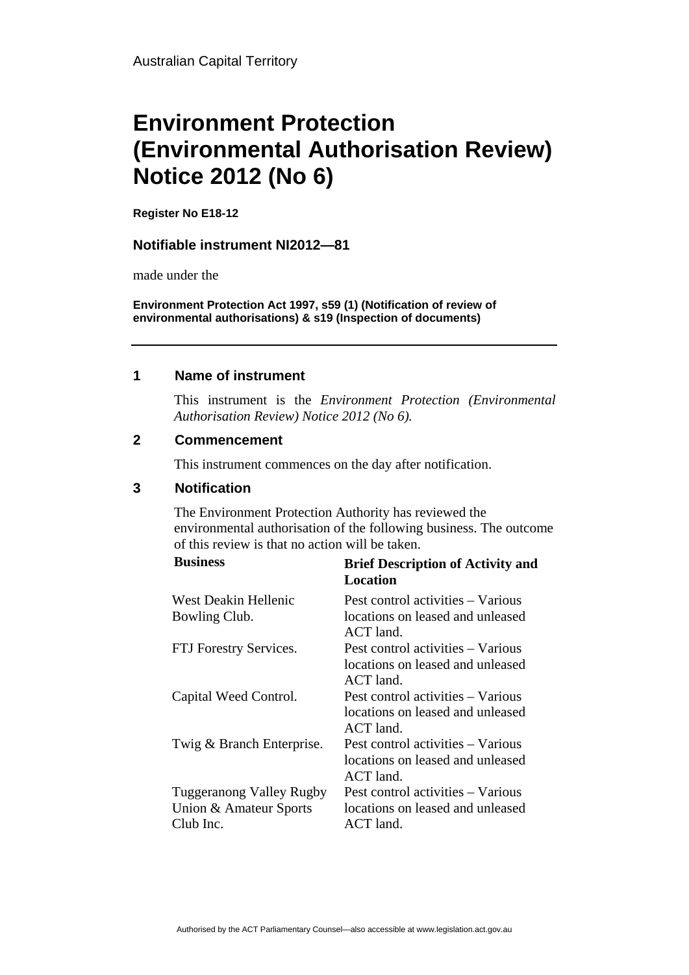# **Environment Protection (Environmental Authorisation Review) Notice 2012 (No 6)**

**Register No E18-12**

#### **Notifiable instrument NI2012—81**

made under the

**Environment Protection Act 1997, s59 (1) (Notification of review of environmental authorisations) & s19 (Inspection of documents)**

#### **1 Name of instrument**

This instrument is the *Environment Protection (Environmental Authorisation Review) Notice 2012 (No 6).* 

#### **2 Commencement**

This instrument commences on the day after notification.

### **3 Notification**

The Environment Protection Authority has reviewed the environmental authorisation of the following business. The outcome of this review is that no action will be taken.

| <b>Business</b>                 | <b>Brief Description of Activity and</b><br>Location                                 |
|---------------------------------|--------------------------------------------------------------------------------------|
| West Deakin Hellenic            | Pest control activities – Various                                                    |
| Bowling Club.                   | locations on leased and unleased<br>ACT land.                                        |
| FTJ Forestry Services.          | Pest control activities – Various<br>locations on leased and unleased<br>$ACT$ land. |
| Capital Weed Control.           | Pest control activities – Various<br>locations on leased and unleased<br>$ACT$ land. |
| Twig & Branch Enterprise.       | Pest control activities – Various<br>locations on leased and unleased<br>ACT land.   |
| <b>Tuggeranong Valley Rugby</b> | Pest control activities – Various                                                    |
| Union & Amateur Sports          | locations on leased and unleased                                                     |
| Club Inc.                       | ACT land.                                                                            |